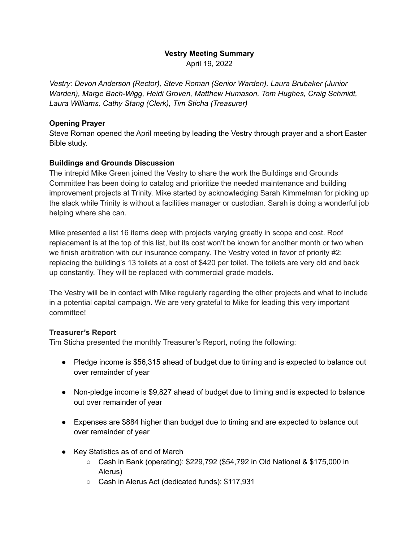## **Vestry Meeting Summary**

April 19, 2022

*Vestry: Devon Anderson (Rector), Steve Roman (Senior Warden), Laura Brubaker (Junior Warden), Marge Bach-Wigg, Heidi Groven, Matthew Humason, Tom Hughes, Craig Schmidt, Laura Williams, Cathy Stang (Clerk), Tim Sticha (Treasurer)*

### **Opening Prayer**

Steve Roman opened the April meeting by leading the Vestry through prayer and a short Easter Bible study.

# **Buildings and Grounds Discussion**

The intrepid Mike Green joined the Vestry to share the work the Buildings and Grounds Committee has been doing to catalog and prioritize the needed maintenance and building improvement projects at Trinity. Mike started by acknowledging Sarah Kimmelman for picking up the slack while Trinity is without a facilities manager or custodian. Sarah is doing a wonderful job helping where she can.

Mike presented a list 16 items deep with projects varying greatly in scope and cost. Roof replacement is at the top of this list, but its cost won't be known for another month or two when we finish arbitration with our insurance company. The Vestry voted in favor of priority #2: replacing the building's 13 toilets at a cost of \$420 per toilet. The toilets are very old and back up constantly. They will be replaced with commercial grade models.

The Vestry will be in contact with Mike regularly regarding the other projects and what to include in a potential capital campaign. We are very grateful to Mike for leading this very important committee!

#### **Treasurer's Report**

Tim Sticha presented the monthly Treasurer's Report, noting the following:

- Pledge income is \$56,315 ahead of budget due to timing and is expected to balance out over remainder of year
- Non-pledge income is \$9,827 ahead of budget due to timing and is expected to balance out over remainder of year
- Expenses are \$884 higher than budget due to timing and are expected to balance out over remainder of year
- Key Statistics as of end of March
	- Cash in Bank (operating): \$229,792 (\$54,792 in Old National & \$175,000 in Alerus)
	- Cash in Alerus Act (dedicated funds): \$117,931